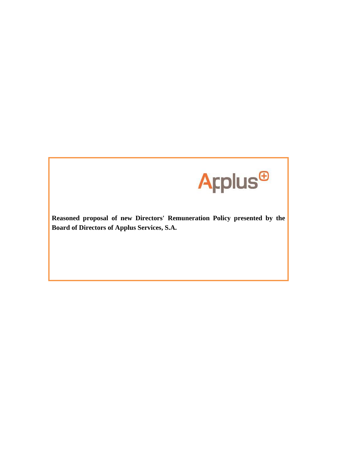

**Reasoned proposal of new Directors' Remuneration Policy presented by the Board of Directors of Applus Services, S.A.**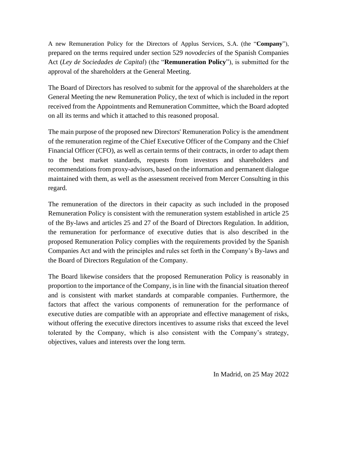A new Remuneration Policy for the Directors of Applus Services, S.A. (the "**Company**"), prepared on the terms required under section 529 *novodecies* of the Spanish Companies Act (*Ley de Sociedades de Capital*) (the "**Remuneration Policy**"), is submitted for the approval of the shareholders at the General Meeting.

The Board of Directors has resolved to submit for the approval of the shareholders at the General Meeting the new Remuneration Policy, the text of which is included in the report received from the Appointments and Remuneration Committee, which the Board adopted on all its terms and which it attached to this reasoned proposal.

The main purpose of the proposed new Directors' Remuneration Policy is the amendment of the remuneration regime of the Chief Executive Officer of the Company and the Chief Financial Officer (CFO), as well as certain terms of their contracts, in order to adapt them to the best market standards, requests from investors and shareholders and recommendations from proxy-advisors, based on the information and permanent dialogue maintained with them, as well as the assessment received from Mercer Consulting in this regard.

The remuneration of the directors in their capacity as such included in the proposed Remuneration Policy is consistent with the remuneration system established in article 25 of the By-laws and articles 25 and 27 of the Board of Directors Regulation. In addition, the remuneration for performance of executive duties that is also described in the proposed Remuneration Policy complies with the requirements provided by the Spanish Companies Act and with the principles and rules set forth in the Company's By-laws and the Board of Directors Regulation of the Company.

The Board likewise considers that the proposed Remuneration Policy is reasonably in proportion to the importance of the Company, is in line with the financial situation thereof and is consistent with market standards at comparable companies. Furthermore, the factors that affect the various components of remuneration for the performance of executive duties are compatible with an appropriate and effective management of risks, without offering the executive directors incentives to assume risks that exceed the level tolerated by the Company, which is also consistent with the Company's strategy, objectives, values and interests over the long term.

In Madrid, on 25 May 2022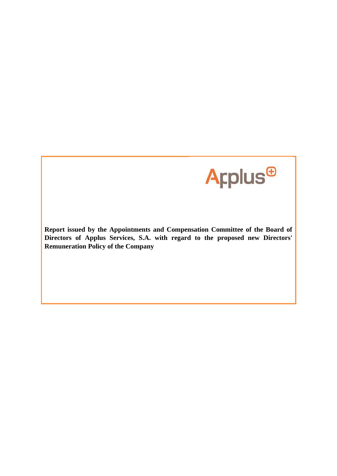

**Report issued by the Appointments and Compensation Committee of the Board of Directors of Applus Services, S.A. with regard to the proposed new Directors' Remuneration Policy of the Company**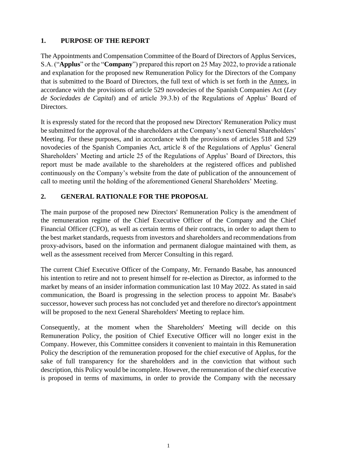# **1. PURPOSE OF THE REPORT**

The Appointments and Compensation Committee of the Board of Directors of Applus Services, S.A. ("**Applus**" or the "**Company**") prepared this report on 25 May 2022, to provide a rationale and explanation for the proposed new Remuneration Policy for the Directors of the Company that is submitted to the Board of Directors, the full text of which is set forth in the Annex, in accordance with the provisions of article 529 novodecies of the Spanish Companies Act (*Ley de Sociedades de Capital*) and of article 39.3.b) of the Regulations of Applus' Board of Directors.

It is expressly stated for the record that the proposed new Directors' Remuneration Policy must be submitted for the approval of the shareholders at the Company's next General Shareholders' Meeting. For these purposes, and in accordance with the provisions of articles 518 and 529 novodecies of the Spanish Companies Act, article 8 of the Regulations of Applus' General Shareholders' Meeting and article 25 of the Regulations of Applus' Board of Directors, this report must be made available to the shareholders at the registered offices and published continuously on the Company's website from the date of publication of the announcement of call to meeting until the holding of the aforementioned General Shareholders' Meeting.

# **2. GENERAL RATIONALE FOR THE PROPOSAL**

The main purpose of the proposed new Directors' Remuneration Policy is the amendment of the remuneration regime of the Chief Executive Officer of the Company and the Chief Financial Officer (CFO), as well as certain terms of their contracts, in order to adapt them to the best market standards, requests from investors and shareholders and recommendations from proxy-advisors, based on the information and permanent dialogue maintained with them, as well as the assessment received from Mercer Consulting in this regard.

The current Chief Executive Officer of the Company, Mr. Fernando Basabe, has announced his intention to retire and not to present himself for re-election as Director, as informed to the market by means of an insider information communication last 10 May 2022. As stated in said communication, the Board is progressing in the selection process to appoint Mr. Basabe's successor, however such process has not concluded yet and therefore no director's appointment will be proposed to the next General Shareholders' Meeting to replace him.

Consequently, at the moment when the Shareholders' Meeting will decide on this Remuneration Policy, the position of Chief Executive Officer will no longer exist in the Company. However, this Committee considers it convenient to maintain in this Remuneration Policy the description of the remuneration proposed for the chief executive of Applus, for the sake of full transparency for the shareholders and in the conviction that without such description, this Policy would be incomplete. However, the remuneration of the chief executive is proposed in terms of maximums, in order to provide the Company with the necessary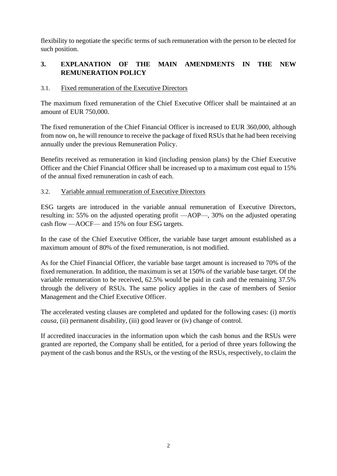flexibility to negotiate the specific terms of such remuneration with the person to be elected for such position.

# **3. EXPLANATION OF THE MAIN AMENDMENTS IN THE NEW REMUNERATION POLICY**

# 3.1. Fixed remuneration of the Executive Directors

The maximum fixed remuneration of the Chief Executive Officer shall be maintained at an amount of EUR 750,000.

The fixed remuneration of the Chief Financial Officer is increased to EUR 360,000, although from now on, he will renounce to receive the package of fixed RSUs that he had been receiving annually under the previous Remuneration Policy.

Benefits received as remuneration in kind (including pension plans) by the Chief Executive Officer and the Chief Financial Officer shall be increased up to a maximum cost equal to 15% of the annual fixed remuneration in cash of each.

#### 3.2. Variable annual remuneration of Executive Directors

ESG targets are introduced in the variable annual remuneration of Executive Directors, resulting in: 55% on the adjusted operating profit —AOP—, 30% on the adjusted operating cash flow —AOCF— and 15% on four ESG targets.

In the case of the Chief Executive Officer, the variable base target amount established as a maximum amount of 80% of the fixed remuneration, is not modified.

As for the Chief Financial Officer, the variable base target amount is increased to 70% of the fixed remuneration. In addition, the maximum is set at 150% of the variable base target. Of the variable remuneration to be received, 62.5% would be paid in cash and the remaining 37.5% through the delivery of RSUs. The same policy applies in the case of members of Senior Management and the Chief Executive Officer.

The accelerated vesting clauses are completed and updated for the following cases: (i) *mortis causa*, (ii) permanent disability, (iii) good leaver or (iv) change of control.

If accredited inaccuracies in the information upon which the cash bonus and the RSUs were granted are reported, the Company shall be entitled, for a period of three years following the payment of the cash bonus and the RSUs, or the vesting of the RSUs, respectively, to claim the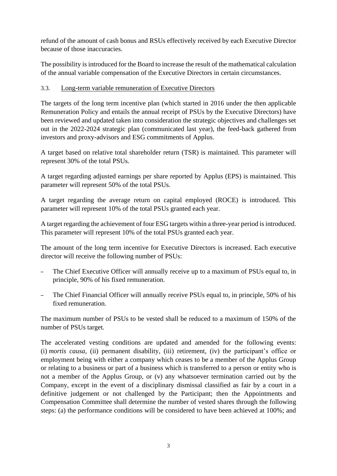refund of the amount of cash bonus and RSUs effectively received by each Executive Director because of those inaccuracies.

The possibility is introduced for the Board to increase the result of the mathematical calculation of the annual variable compensation of the Executive Directors in certain circumstances.

#### 3.3. Long-term variable remuneration of Executive Directors

The targets of the long term incentive plan (which started in 2016 under the then applicable Remuneration Policy and entails the annual receipt of PSUs by the Executive Directors) have been reviewed and updated taken into consideration the strategic objectives and challenges set out in the 2022-2024 strategic plan (communicated last year), the feed-back gathered from investors and proxy-advisors and ESG commitments of Applus.

A target based on relative total shareholder return (TSR) is maintained. This parameter will represent 30% of the total PSUs.

A target regarding adjusted earnings per share reported by Applus (EPS) is maintained. This parameter will represent 50% of the total PSUs.

A target regarding the average return on capital employed (ROCE) is introduced. This parameter will represent 10% of the total PSUs granted each year.

A target regarding the achievement of four ESG targets within a three-year period is introduced. This parameter will represent 10% of the total PSUs granted each year.

The amount of the long term incentive for Executive Directors is increased. Each executive director will receive the following number of PSUs:

- The Chief Executive Officer will annually receive up to a maximum of PSUs equal to, in principle, 90% of his fixed remuneration.
- The Chief Financial Officer will annually receive PSUs equal to, in principle, 50% of his fixed remuneration.

The maximum number of PSUs to be vested shall be reduced to a maximum of 150% of the number of PSUs target.

The accelerated vesting conditions are updated and amended for the following events: (i) *mortis causa*, (ii) permanent disability, (iii) retirement, (iv) the participant's office or employment being with either a company which ceases to be a member of the Applus Group or relating to a business or part of a business which is transferred to a person or entity who is not a member of the Applus Group, or (v) any whatsoever termination carried out by the Company, except in the event of a disciplinary dismissal classified as fair by a court in a definitive judgement or not challenged by the Participant; then the Appointments and Compensation Committee shall determine the number of vested shares through the following steps: (a) the performance conditions will be considered to have been achieved at 100%; and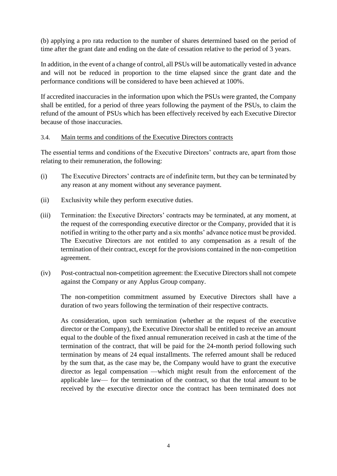(b) applying a pro rata reduction to the number of shares determined based on the period of time after the grant date and ending on the date of cessation relative to the period of 3 years.

In addition, in the event of a change of control, all PSUs will be automatically vested in advance and will not be reduced in proportion to the time elapsed since the grant date and the performance conditions will be considered to have been achieved at 100%.

If accredited inaccuracies in the information upon which the PSUs were granted, the Company shall be entitled, for a period of three years following the payment of the PSUs, to claim the refund of the amount of PSUs which has been effectively received by each Executive Director because of those inaccuracies.

#### 3.4. Main terms and conditions of the Executive Directors contracts

The essential terms and conditions of the Executive Directors' contracts are, apart from those relating to their remuneration, the following:

- (i) The Executive Directors' contracts are of indefinite term, but they can be terminated by any reason at any moment without any severance payment.
- (ii) Exclusivity while they perform executive duties.
- (iii) Termination: the Executive Directors' contracts may be terminated, at any moment, at the request of the corresponding executive director or the Company, provided that it is notified in writing to the other party and a six months' advance notice must be provided. The Executive Directors are not entitled to any compensation as a result of the termination of their contract, except for the provisions contained in the non-competition agreement.
- (iv) Post-contractual non-competition agreement: the Executive Directors shall not compete against the Company or any Applus Group company.

The non-competition commitment assumed by Executive Directors shall have a duration of two years following the termination of their respective contracts.

As consideration, upon such termination (whether at the request of the executive director or the Company), the Executive Director shall be entitled to receive an amount equal to the double of the fixed annual remuneration received in cash at the time of the termination of the contract, that will be paid for the 24-month period following such termination by means of 24 equal installments. The referred amount shall be reduced by the sum that, as the case may be, the Company would have to grant the executive director as legal compensation —which might result from the enforcement of the applicable law— for the termination of the contract, so that the total amount to be received by the executive director once the contract has been terminated does not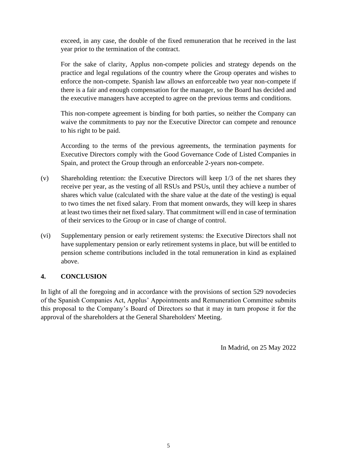exceed, in any case, the double of the fixed remuneration that he received in the last year prior to the termination of the contract.

For the sake of clarity, Applus non-compete policies and strategy depends on the practice and legal regulations of the country where the Group operates and wishes to enforce the non-compete. Spanish law allows an enforceable two year non-compete if there is a fair and enough compensation for the manager, so the Board has decided and the executive managers have accepted to agree on the previous terms and conditions.

This non-compete agreement is binding for both parties, so neither the Company can waive the commitments to pay nor the Executive Director can compete and renounce to his right to be paid.

According to the terms of the previous agreements, the termination payments for Executive Directors comply with the Good Governance Code of Listed Companies in Spain, and protect the Group through an enforceable 2-years non-compete.

- (v) Shareholding retention: the Executive Directors will keep 1/3 of the net shares they receive per year, as the vesting of all RSUs and PSUs, until they achieve a number of shares which value (calculated with the share value at the date of the vesting) is equal to two times the net fixed salary. From that moment onwards, they will keep in shares at least two times their net fixed salary. That commitment will end in case of termination of their services to the Group or in case of change of control.
- (vi) Supplementary pension or early retirement systems: the Executive Directors shall not have supplementary pension or early retirement systems in place, but will be entitled to pension scheme contributions included in the total remuneration in kind as explained above.

#### **4. CONCLUSION**

In light of all the foregoing and in accordance with the provisions of section 529 novodecies of the Spanish Companies Act, Applus' Appointments and Remuneration Committee submits this proposal to the Company's Board of Directors so that it may in turn propose it for the approval of the shareholders at the General Shareholders' Meeting.

In Madrid, on 25 May 2022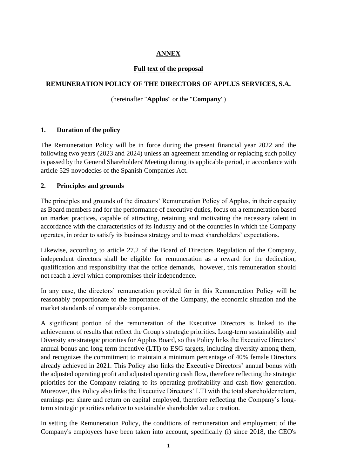# **ANNEX**

# **Full text of the proposal**

# **REMUNERATION POLICY OF THE DIRECTORS OF APPLUS SERVICES, S.A.**

# (hereinafter "**Applus**" or the "**Company**")

#### **1. Duration of the policy**

The Remuneration Policy will be in force during the present financial year 2022 and the following two years (2023 and 2024) unless an agreement amending or replacing such policy is passed by the General Shareholders' Meeting during its applicable period, in accordance with article 529 novodecies of the Spanish Companies Act.

#### **2. Principles and grounds**

The principles and grounds of the directors' Remuneration Policy of Applus, in their capacity as Board members and for the performance of executive duties, focus on a remuneration based on market practices, capable of attracting, retaining and motivating the necessary talent in accordance with the characteristics of its industry and of the countries in which the Company operates, in order to satisfy its business strategy and to meet shareholders' expectations.

Likewise, according to article 27.2 of the Board of Directors Regulation of the Company, independent directors shall be eligible for remuneration as a reward for the dedication, qualification and responsibility that the office demands, however, this remuneration should not reach a level which compromises their independence.

In any case, the directors' remuneration provided for in this Remuneration Policy will be reasonably proportionate to the importance of the Company, the economic situation and the market standards of comparable companies.

A significant portion of the remuneration of the Executive Directors is linked to the achievement of results that reflect the Group's strategic priorities. Long-term sustainability and Diversity are strategic priorities for Applus Board, so this Policy links the Executive Directors' annual bonus and long term incentive (LTI) to ESG targets, including diversity among them, and recognizes the commitment to maintain a minimum percentage of 40% female Directors already achieved in 2021. This Policy also links the Executive Directors' annual bonus with the adjusted operating profit and adjusted operating cash flow, therefore reflecting the strategic priorities for the Company relating to its operating profitability and cash flow generation. Moreover, this Policy also links the Executive Directors' LTI with the total shareholder return, earnings per share and return on capital employed, therefore reflecting the Company's longterm strategic priorities relative to sustainable shareholder value creation.

In setting the Remuneration Policy, the conditions of remuneration and employment of the Company's employees have been taken into account, specifically (i) since 2018, the CEO's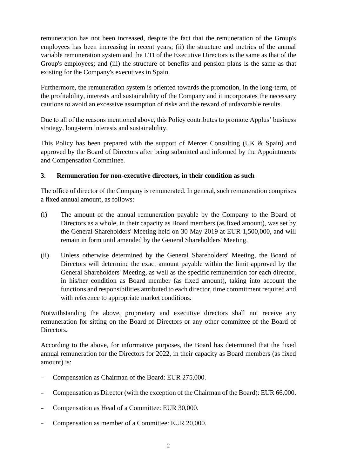remuneration has not been increased, despite the fact that the remuneration of the Group's employees has been increasing in recent years; (ii) the structure and metrics of the annual variable remuneration system and the LTI of the Executive Directors is the same as that of the Group's employees; and (iii) the structure of benefits and pension plans is the same as that existing for the Company's executives in Spain.

Furthermore, the remuneration system is oriented towards the promotion, in the long-term, of the profitability, interests and sustainability of the Company and it incorporates the necessary cautions to avoid an excessive assumption of risks and the reward of unfavorable results.

Due to all of the reasons mentioned above, this Policy contributes to promote Applus' business strategy, long-term interests and sustainability.

This Policy has been prepared with the support of Mercer Consulting (UK & Spain) and approved by the Board of Directors after being submitted and informed by the Appointments and Compensation Committee.

# **3. Remuneration for non-executive directors, in their condition as such**

The office of director of the Company is remunerated. In general, such remuneration comprises a fixed annual amount, as follows:

- (i) The amount of the annual remuneration payable by the Company to the Board of Directors as a whole, in their capacity as Board members (as fixed amount), was set by the General Shareholders' Meeting held on 30 May 2019 at EUR 1,500,000, and will remain in form until amended by the General Shareholders' Meeting.
- (ii) Unless otherwise determined by the General Shareholders' Meeting, the Board of Directors will determine the exact amount payable within the limit approved by the General Shareholders' Meeting, as well as the specific remuneration for each director, in his/her condition as Board member (as fixed amount), taking into account the functions and responsibilities attributed to each director, time commitment required and with reference to appropriate market conditions.

Notwithstanding the above, proprietary and executive directors shall not receive any remuneration for sitting on the Board of Directors or any other committee of the Board of Directors.

According to the above, for informative purposes, the Board has determined that the fixed annual remuneration for the Directors for 2022, in their capacity as Board members (as fixed amount) is:

- Compensation as Chairman of the Board: EUR 275,000.
- Compensation as Director (with the exception of the Chairman of the Board): EUR 66,000.
- Compensation as Head of a Committee: EUR 30,000.
- Compensation as member of a Committee: EUR 20,000.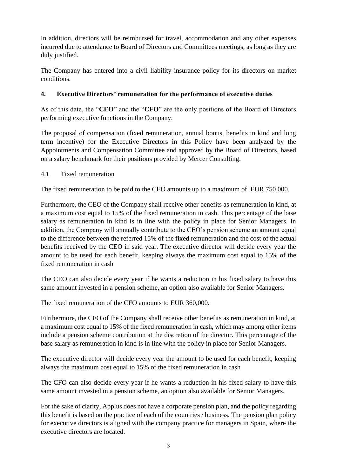In addition, directors will be reimbursed for travel, accommodation and any other expenses incurred due to attendance to Board of Directors and Committees meetings, as long as they are duly justified.

The Company has entered into a civil liability insurance policy for its directors on market conditions.

# **4. Executive Directors' remuneration for the performance of executive duties**

As of this date, the "**CEO**" and the "**CFO**" are the only positions of the Board of Directors performing executive functions in the Company.

The proposal of compensation (fixed remuneration, annual bonus, benefits in kind and long term incentive) for the Executive Directors in this Policy have been analyzed by the Appointments and Compensation Committee and approved by the Board of Directors, based on a salary benchmark for their positions provided by Mercer Consulting.

#### 4.1 Fixed remuneration

The fixed remuneration to be paid to the CEO amounts up to a maximum of EUR 750,000.

Furthermore, the CEO of the Company shall receive other benefits as remuneration in kind, at a maximum cost equal to 15% of the fixed remuneration in cash. This percentage of the base salary as remuneration in kind is in line with the policy in place for Senior Managers. In addition, the Company will annually contribute to the CEO's pension scheme an amount equal to the difference between the referred 15% of the fixed remuneration and the cost of the actual benefits received by the CEO in said year. The executive director will decide every year the amount to be used for each benefit, keeping always the maximum cost equal to 15% of the fixed remuneration in cash

The CEO can also decide every year if he wants a reduction in his fixed salary to have this same amount invested in a pension scheme, an option also available for Senior Managers.

The fixed remuneration of the CFO amounts to EUR 360,000.

Furthermore, the CFO of the Company shall receive other benefits as remuneration in kind, at a maximum cost equal to 15% of the fixed remuneration in cash, which may among other items include a pension scheme contribution at the discretion of the director. This percentage of the base salary as remuneration in kind is in line with the policy in place for Senior Managers.

The executive director will decide every year the amount to be used for each benefit, keeping always the maximum cost equal to 15% of the fixed remuneration in cash

The CFO can also decide every year if he wants a reduction in his fixed salary to have this same amount invested in a pension scheme, an option also available for Senior Managers.

For the sake of clarity, Applus does not have a corporate pension plan, and the policy regarding this benefit is based on the practice of each of the countries / business. The pension plan policy for executive directors is aligned with the company practice for managers in Spain, where the executive directors are located.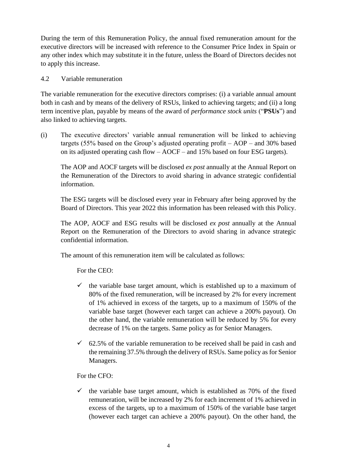During the term of this Remuneration Policy, the annual fixed remuneration amount for the executive directors will be increased with reference to the Consumer Price Index in Spain or any other index which may substitute it in the future, unless the Board of Directors decides not to apply this increase.

#### 4.2 Variable remuneration

The variable remuneration for the executive directors comprises: (i) a variable annual amount both in cash and by means of the delivery of RSUs, linked to achieving targets; and (ii) a long term incentive plan, payable by means of the award of *performance stock units* ("**PSUs**") and also linked to achieving targets.

(i) The executive directors' variable annual remuneration will be linked to achieving targets (55% based on the Group's adjusted operating profit – AOP – and 30% based on its adjusted operating cash flow – AOCF – and 15% based on four ESG targets).

The AOP and AOCF targets will be disclosed *ex post* annually at the Annual Report on the Remuneration of the Directors to avoid sharing in advance strategic confidential information.

The ESG targets will be disclosed every year in February after being approved by the Board of Directors. This year 2022 this information has been released with this Policy.

The AOP, AOCF and ESG results will be disclosed *ex post* annually at the Annual Report on the Remuneration of the Directors to avoid sharing in advance strategic confidential information.

The amount of this remuneration item will be calculated as follows:

For the CEO:

- $\checkmark$  the variable base target amount, which is established up to a maximum of 80% of the fixed remuneration, will be increased by 2% for every increment of 1% achieved in excess of the targets, up to a maximum of 150% of the variable base target (however each target can achieve a 200% payout). On the other hand, the variable remuneration will be reduced by 5% for every decrease of 1% on the targets. Same policy as for Senior Managers.
- $\checkmark$  62.5% of the variable remuneration to be received shall be paid in cash and the remaining 37.5% through the delivery of RSUs. Same policy as for Senior Managers.

For the CFO:

 $\checkmark$  the variable base target amount, which is established as 70% of the fixed remuneration, will be increased by 2% for each increment of 1% achieved in excess of the targets, up to a maximum of 150% of the variable base target (however each target can achieve a 200% payout). On the other hand, the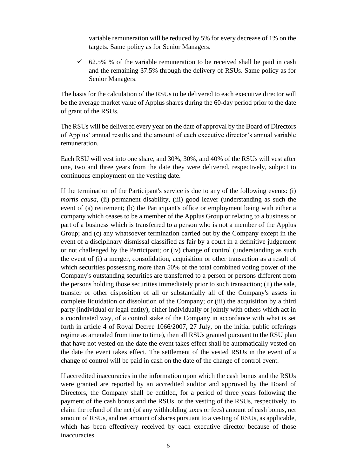variable remuneration will be reduced by 5% for every decrease of 1% on the targets. Same policy as for Senior Managers.

 $\checkmark$  62.5% % of the variable remuneration to be received shall be paid in cash and the remaining 37.5% through the delivery of RSUs. Same policy as for Senior Managers.

The basis for the calculation of the RSUs to be delivered to each executive director will be the average market value of Applus shares during the 60-day period prior to the date of grant of the RSUs.

The RSUs will be delivered every year on the date of approval by the Board of Directors of Applus' annual results and the amount of each executive director's annual variable remuneration.

Each RSU will vest into one share, and 30%, 30%, and 40% of the RSUs will vest after one, two and three years from the date they were delivered, respectively, subject to continuous employment on the vesting date.

If the termination of the Participant's service is due to any of the following events: (i) *mortis causa*, (ii) permanent disability, (iii) good leaver (understanding as such the event of (a) retirement; (b) the Participant's office or employment being with either a company which ceases to be a member of the Applus Group or relating to a business or part of a business which is transferred to a person who is not a member of the Applus Group; and (c) any whatsoever termination carried out by the Company except in the event of a disciplinary dismissal classified as fair by a court in a definitive judgement or not challenged by the Participant; or (iv) change of control (understanding as such the event of (i) a merger, consolidation, acquisition or other transaction as a result of which securities possessing more than 50% of the total combined voting power of the Company's outstanding securities are transferred to a person or persons different from the persons holding those securities immediately prior to such transaction; (ii) the sale, transfer or other disposition of all or substantially all of the Company's assets in complete liquidation or dissolution of the Company; or (iii) the acquisition by a third party (individual or legal entity), either individually or jointly with others which act in a coordinated way, of a control stake of the Company in accordance with what is set forth in article 4 of Royal Decree 1066/2007, 27 July, on the initial public offerings regime as amended from time to time), then all RSUs granted pursuant to the RSU plan that have not vested on the date the event takes effect shall be automatically vested on the date the event takes effect. The settlement of the vested RSUs in the event of a change of control will be paid in cash on the date of the change of control event.

If accredited inaccuracies in the information upon which the cash bonus and the RSUs were granted are reported by an accredited auditor and approved by the Board of Directors, the Company shall be entitled, for a period of three years following the payment of the cash bonus and the RSUs, or the vesting of the RSUs, respectively, to claim the refund of the net (of any withholding taxes or fees) amount of cash bonus, net amount of RSUs, and net amount of shares pursuant to a vesting of RSUs, as applicable, which has been effectively received by each executive director because of those inaccuracies.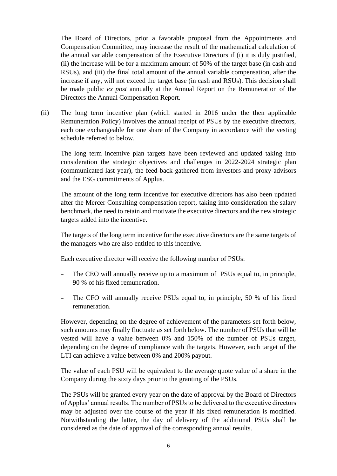The Board of Directors, prior a favorable proposal from the Appointments and Compensation Committee, may increase the result of the mathematical calculation of the annual variable compensation of the Executive Directors if (i) it is duly justified, (ii) the increase will be for a maximum amount of 50% of the target base (in cash and RSUs), and (iii) the final total amount of the annual variable compensation, after the increase if any, will not exceed the target base (in cash and RSUs). This decision shall be made public *ex post* annually at the Annual Report on the Remuneration of the Directors the Annual Compensation Report.

(ii) The long term incentive plan (which started in 2016 under the then applicable Remuneration Policy) involves the annual receipt of PSUs by the executive directors, each one exchangeable for one share of the Company in accordance with the vesting schedule referred to below.

The long term incentive plan targets have been reviewed and updated taking into consideration the strategic objectives and challenges in 2022-2024 strategic plan (communicated last year), the feed-back gathered from investors and proxy-advisors and the ESG commitments of Applus.

The amount of the long term incentive for executive directors has also been updated after the Mercer Consulting compensation report, taking into consideration the salary benchmark, the need to retain and motivate the executive directors and the new strategic targets added into the incentive.

The targets of the long term incentive for the executive directors are the same targets of the managers who are also entitled to this incentive.

Each executive director will receive the following number of PSUs:

- The CEO will annually receive up to a maximum of PSUs equal to, in principle, 90 % of his fixed remuneration.
- The CFO will annually receive PSUs equal to, in principle, 50 % of his fixed remuneration.

However, depending on the degree of achievement of the parameters set forth below, such amounts may finally fluctuate as set forth below. The number of PSUs that will be vested will have a value between 0% and 150% of the number of PSUs target, depending on the degree of compliance with the targets. However, each target of the LTI can achieve a value between 0% and 200% payout.

The value of each PSU will be equivalent to the average quote value of a share in the Company during the sixty days prior to the granting of the PSUs.

The PSUs will be granted every year on the date of approval by the Board of Directors of Applus' annual results. The number of PSUs to be delivered to the executive directors may be adjusted over the course of the year if his fixed remuneration is modified. Notwithstanding the latter, the day of delivery of the additional PSUs shall be considered as the date of approval of the corresponding annual results.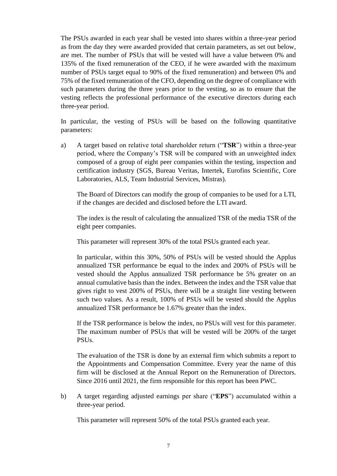The PSUs awarded in each year shall be vested into shares within a three-year period as from the day they were awarded provided that certain parameters, as set out below, are met. The number of PSUs that will be vested will have a value between 0% and 135% of the fixed remuneration of the CEO, if he were awarded with the maximum number of PSUs target equal to 90% of the fixed remuneration) and between 0% and 75% of the fixed remuneration of the CFO, depending on the degree of compliance with such parameters during the three years prior to the vesting, so as to ensure that the vesting reflects the professional performance of the executive directors during each three-year period.

In particular, the vesting of PSUs will be based on the following quantitative parameters:

a) A target based on relative total shareholder return ("**TSR**") within a three-year period, where the Company's TSR will be compared with an unweighted index composed of a group of eight peer companies within the testing, inspection and certification industry (SGS, Bureau Veritas, Intertek, Eurofins Scientific, Core Laboratories, ALS, Team Industrial Services, Mistras).

The Board of Directors can modify the group of companies to be used for a LTI, if the changes are decided and disclosed before the LTI award.

The index is the result of calculating the annualized TSR of the media TSR of the eight peer companies.

This parameter will represent 30% of the total PSUs granted each year.

In particular, within this 30%, 50% of PSUs will be vested should the Applus annualized TSR performance be equal to the index and 200% of PSUs will be vested should the Applus annualized TSR performance be 5% greater on an annual cumulative basis than the index. Between the index and the TSR value that gives right to vest 200% of PSUs, there will be a straight line vesting between such two values. As a result, 100% of PSUs will be vested should the Applus annualized TSR performance be 1.67% greater than the index.

If the TSR performance is below the index, no PSUs will vest for this parameter. The maximum number of PSUs that will be vested will be 200% of the target PSUs.

The evaluation of the TSR is done by an external firm which submits a report to the Appointments and Compensation Committee. Every year the name of this firm will be disclosed at the Annual Report on the Remuneration of Directors. Since 2016 until 2021, the firm responsible for this report has been PWC.

b) A target regarding adjusted earnings per share ("**EPS**") accumulated within a three-year period.

This parameter will represent 50% of the total PSUs granted each year.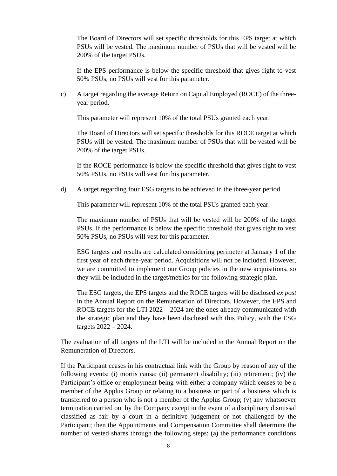The Board of Directors will set specific thresholds for this EPS target at which PSUs will be vested. The maximum number of PSUs that will be vested will be 200% of the target PSUs.

If the EPS performance is below the specific threshold that gives right to vest 50% PSUs, no PSUs will vest for this parameter.

c) A target regarding the average Return on Capital Employed (ROCE) of the threeyear period.

This parameter will represent 10% of the total PSUs granted each year.

The Board of Directors will set specific thresholds for this ROCE target at which PSUs will be vested. The maximum number of PSUs that will be vested will be 200% of the target PSUs.

If the ROCE performance is below the specific threshold that gives right to vest 50% PSUs, no PSUs will vest for this parameter.

d) A target regarding four ESG targets to be achieved in the three-year period.

This parameter will represent 10% of the total PSUs granted each year.

The maximum number of PSUs that will be vested will be 200% of the target PSUs. If the performance is below the specific threshold that gives right to vest 50% PSUs, no PSUs will vest for this parameter.

ESG targets and results are calculated considering perimeter at January 1 of the first year of each three-year period. Acquisitions will not be included. However, we are committed to implement our Group policies in the new acquisitions, so they will be included in the target/metrics for the following strategic plan.

The ESG targets, the EPS targets and the ROCE targets will be disclosed *ex post* in the Annual Report on the Remuneration of Directors. However, the EPS and ROCE targets for the LTI 2022 – 2024 are the ones already communicated with the strategic plan and they have been disclosed with this Policy, with the ESG targets 2022 – 2024.

The evaluation of all targets of the LTI will be included in the Annual Report on the Remuneration of Directors.

If the Participant ceases in his contractual link with the Group by reason of any of the following events: (i) mortis causa; (ii) permanent disability; (iii) retirement; (iv) the Participant's office or employment being with either a company which ceases to be a member of the Applus Group or relating to a business or part of a business which is transferred to a person who is not a member of the Applus Group; (v) any whatsoever termination carried out by the Company except in the event of a disciplinary dismissal classified as fair by a court in a definitive judgement or not challenged by the Participant; then the Appointments and Compensation Committee shall determine the number of vested shares through the following steps: (a) the performance conditions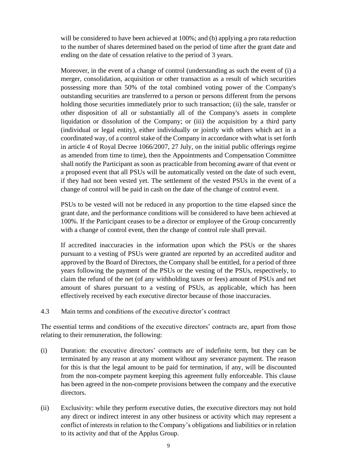will be considered to have been achieved at 100%; and (b) applying a pro rata reduction to the number of shares determined based on the period of time after the grant date and ending on the date of cessation relative to the period of 3 years.

Moreover, in the event of a change of control (understanding as such the event of (i) a merger, consolidation, acquisition or other transaction as a result of which securities possessing more than 50% of the total combined voting power of the Company's outstanding securities are transferred to a person or persons different from the persons holding those securities immediately prior to such transaction; (ii) the sale, transfer or other disposition of all or substantially all of the Company's assets in complete liquidation or dissolution of the Company; or (iii) the acquisition by a third party (individual or legal entity), either individually or jointly with others which act in a coordinated way, of a control stake of the Company in accordance with what is set forth in article 4 of Royal Decree 1066/2007, 27 July, on the initial public offerings regime as amended from time to time), then the Appointments and Compensation Committee shall notify the Participant as soon as practicable from becoming aware of that event or a proposed event that all PSUs will be automatically vested on the date of such event, if they had not been vested yet. The settlement of the vested PSUs in the event of a change of control will be paid in cash on the date of the change of control event.

PSUs to be vested will not be reduced in any proportion to the time elapsed since the grant date, and the performance conditions will be considered to have been achieved at 100%. If the Participant ceases to be a director or employee of the Group concurrently with a change of control event, then the change of control rule shall prevail.

If accredited inaccuracies in the information upon which the PSUs or the shares pursuant to a vesting of PSUs were granted are reported by an accredited auditor and approved by the Board of Directors, the Company shall be entitled, for a period of three years following the payment of the PSUs or the vesting of the PSUs, respectively, to claim the refund of the net (of any withholding taxes or fees) amount of PSUs and net amount of shares pursuant to a vesting of PSUs, as applicable, which has been effectively received by each executive director because of those inaccuracies.

4.3 Main terms and conditions of the executive director's contract

The essential terms and conditions of the executive directors' contracts are, apart from those relating to their remuneration, the following:

- (i) Duration: the executive directors' contracts are of indefinite term, but they can be terminated by any reason at any moment without any severance payment. The reason for this is that the legal amount to be paid for termination, if any, will be discounted from the non-compete payment keeping this agreement fully enforceable. This clause has been agreed in the non-compete provisions between the company and the executive directors.
- (ii) Exclusivity: while they perform executive duties, the executive directors may not hold any direct or indirect interest in any other business or activity which may represent a conflict of interests in relation to the Company's obligations and liabilities or in relation to its activity and that of the Applus Group.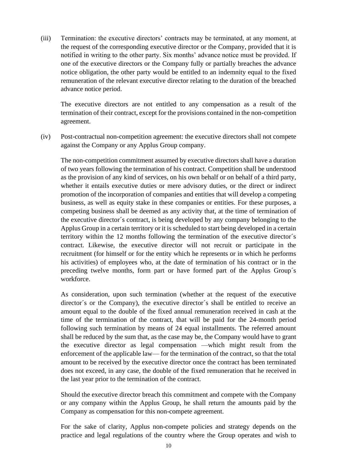(iii) Termination: the executive directors' contracts may be terminated, at any moment, at the request of the corresponding executive director or the Company, provided that it is notified in writing to the other party. Six months' advance notice must be provided. If one of the executive directors or the Company fully or partially breaches the advance notice obligation, the other party would be entitled to an indemnity equal to the fixed remuneration of the relevant executive director relating to the duration of the breached advance notice period.

The executive directors are not entitled to any compensation as a result of the termination of their contract, except for the provisions contained in the non-competition agreement.

(iv) Post-contractual non-competition agreement: the executive directors shall not compete against the Company or any Applus Group company.

The non-competition commitment assumed by executive directors shall have a duration of two years following the termination of his contract. Competition shall be understood as the provision of any kind of services, on his own behalf or on behalf of a third party, whether it entails executive duties or mere advisory duties, or the direct or indirect promotion of the incorporation of companies and entities that will develop a competing business, as well as equity stake in these companies or entities. For these purposes, a competing business shall be deemed as any activity that, at the time of termination of the executive director´s contract, is being developed by any company belonging to the Applus Group in a certain territory or it is scheduled to start being developed in a certain territory within the 12 months following the termination of the executive director´s contract. Likewise, the executive director will not recruit or participate in the recruitment (for himself or for the entity which he represents or in which he performs his activities) of employees who, at the date of termination of his contract or in the preceding twelve months, form part or have formed part of the Applus Group´s workforce.

As consideration, upon such termination (whether at the request of the executive director´s or the Company), the executive director´s shall be entitled to receive an amount equal to the double of the fixed annual remuneration received in cash at the time of the termination of the contract, that will be paid for the 24-month period following such termination by means of 24 equal installments. The referred amount shall be reduced by the sum that, as the case may be, the Company would have to grant the executive director as legal compensation —which might result from the enforcement of the applicable law— for the termination of the contract, so that the total amount to be received by the executive director once the contract has been terminated does not exceed, in any case, the double of the fixed remuneration that he received in the last year prior to the termination of the contract.

Should the executive director breach this commitment and compete with the Company or any company within the Applus Group, he shall return the amounts paid by the Company as compensation for this non-compete agreement.

For the sake of clarity, Applus non-compete policies and strategy depends on the practice and legal regulations of the country where the Group operates and wish to